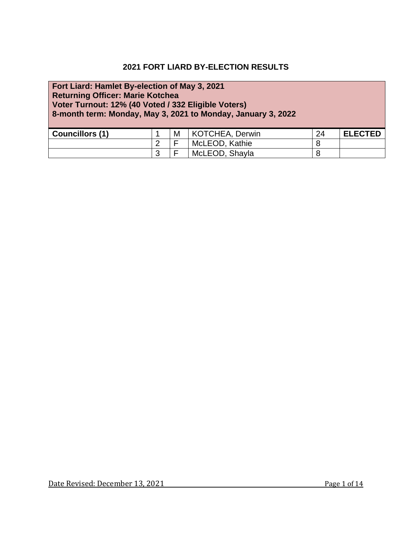#### **2021 FORT LIARD BY-ELECTION RESULTS**

## **Fort Liard: Hamlet By-election of May 3, 2021 Returning Officer: Marie Kotchea Voter Turnout: 12% (40 Voted / 332 Eligible Voters) 8-month term: Monday, May 3, 2021 to Monday, January 3, 2022 Councillors (1)**  $\begin{array}{|c|c|c|c|c|} \hline 1 & M & KOTCHEA, Derwin & 24 & ELECTED \\ \hline \end{array}$ 2 F McLEOD, Kathie 8<br>
3 F McLEOD, Shayla 8 F McLEOD, Shayla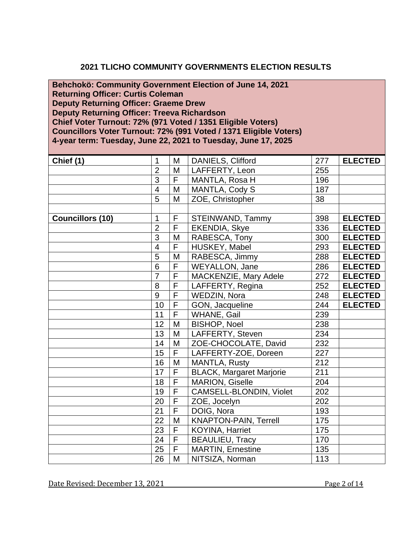#### **2021 TLICHO COMMUNITY GOVERNMENTS ELECTION RESULTS**

**[Behchokö:](http://www.maca.gov.nt.ca/?cmtylist=behchoko) Community Government Election of June 14, 2021 Returning Officer: Curtis Coleman Deputy Returning Officer: Graeme Drew Deputy Returning Officer: Treeva Richardson Chief Voter Turnout: 72% (971 Voted / 1351 Eligible Voters) Councillors Voter Turnout: 72% (991 Voted / 1371 Eligible Voters) 4-year term: Tuesday, June 22, 2021 to Tuesday, June 17, 2025**

| Chief (1)               | $\mathbf{1}$            | M                       | DANIELS, Clifford               | 277 | <b>ELECTED</b> |
|-------------------------|-------------------------|-------------------------|---------------------------------|-----|----------------|
|                         | $\overline{2}$          | M                       | LAFFERTY, Leon                  | 255 |                |
|                         | $\overline{3}$          | $\overline{\mathsf{F}}$ | MANTLA, Rosa H                  | 196 |                |
|                         | $\overline{\mathbf{4}}$ | M                       | MANTLA, Cody S                  | 187 |                |
|                         | 5                       | M                       | ZOE, Christopher                | 38  |                |
|                         |                         |                         |                                 |     |                |
| <b>Councillors (10)</b> | $\mathbf{1}$            | F                       | STEINWAND, Tammy                | 398 | <b>ELECTED</b> |
|                         | $\overline{2}$          | $\overline{F}$          | <b>EKENDIA, Skye</b>            | 336 | <b>ELECTED</b> |
|                         | $\overline{3}$          | M                       | RABESCA, Tony                   | 300 | <b>ELECTED</b> |
|                         | $\overline{4}$          | $\overline{F}$          | HUSKEY, Mabel                   | 293 | <b>ELECTED</b> |
|                         | 5                       | M                       | RABESCA, Jimmy                  | 288 | <b>ELECTED</b> |
|                         | $\overline{6}$          | $\overline{\mathsf{F}}$ | WEYALLON, Jane                  | 286 | <b>ELECTED</b> |
|                         | $\overline{7}$          | $\overline{\mathsf{F}}$ | MACKENZIE, Mary Adele           | 272 | <b>ELECTED</b> |
|                         | 8                       | $\overline{\mathsf{F}}$ | LAFFERTY, Regina                | 252 | <b>ELECTED</b> |
|                         | $\overline{9}$          | $\overline{F}$          | WEDZIN, Nora                    | 248 | <b>ELECTED</b> |
|                         | 10                      | $\overline{F}$          | GON, Jacqueline                 | 244 | <b>ELECTED</b> |
|                         | 11                      | $\overline{\mathsf{F}}$ | WHANE, Gail                     | 239 |                |
|                         | 12                      | M                       | <b>BISHOP, Noel</b>             | 238 |                |
|                         | 13                      | M                       | LAFFERTY, Steven                | 234 |                |
|                         | 14                      | M                       | ZOE-CHOCOLATE, David            | 232 |                |
|                         | 15                      | $\overline{\mathsf{F}}$ | LAFFERTY-ZOE, Doreen            | 227 |                |
|                         | 16                      | M                       | <b>MANTLA, Rusty</b>            | 212 |                |
|                         | 17                      | $\overline{F}$          | <b>BLACK, Margaret Marjorie</b> | 211 |                |
|                         | 18                      | $\overline{\mathsf{F}}$ | <b>MARION, Giselle</b>          | 204 |                |
|                         | 19                      | $\overline{\mathsf{F}}$ | CAMSELL-BLONDIN, Violet         | 202 |                |
|                         | 20                      | $\overline{\mathsf{F}}$ | ZOE, Jocelyn                    | 202 |                |
|                         | $\overline{21}$         | $\overline{\mathsf{F}}$ | DOIG, Nora                      | 193 |                |
|                         | 22                      | M                       | <b>KNAPTON-PAIN, Terrell</b>    | 175 |                |
|                         | $\overline{23}$         | $\overline{\mathsf{F}}$ | KOYINA, Harriet                 | 175 |                |
|                         | 24                      | $\overline{F}$          | <b>BEAULIEU, Tracy</b>          | 170 |                |
|                         | 25                      | $\overline{\mathsf{F}}$ | <b>MARTIN, Ernestine</b>        | 135 |                |
|                         | 26                      | M                       | NITSIZA, Norman                 | 113 |                |

Date Revised: December 13, 2021 Page 2 of 14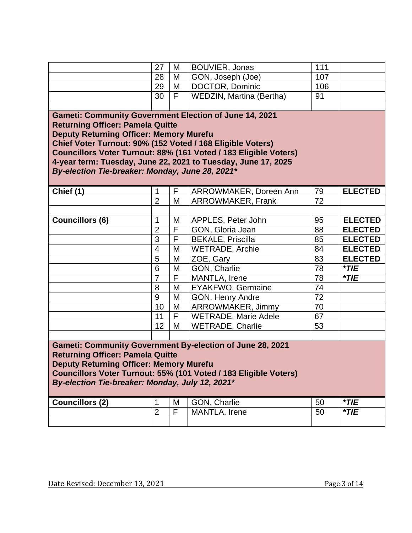|                                                                                                          | 27                       | M | <b>BOUVIER, Jonas</b>                                            | 111             |                |  |  |  |  |
|----------------------------------------------------------------------------------------------------------|--------------------------|---|------------------------------------------------------------------|-----------------|----------------|--|--|--|--|
|                                                                                                          | 28                       | M | GON, Joseph (Joe)                                                | 107             |                |  |  |  |  |
|                                                                                                          | 29                       | M | DOCTOR, Dominic                                                  | 106             |                |  |  |  |  |
|                                                                                                          | 30                       | F | WEDZIN, Martina (Bertha)                                         | 91              |                |  |  |  |  |
|                                                                                                          |                          |   |                                                                  |                 |                |  |  |  |  |
| <b>Gameti: Community Government Election of June 14, 2021</b><br><b>Returning Officer: Pamela Quitte</b> |                          |   |                                                                  |                 |                |  |  |  |  |
| <b>Deputy Returning Officer: Memory Murefu</b>                                                           |                          |   |                                                                  |                 |                |  |  |  |  |
| Chief Voter Turnout: 90% (152 Voted / 168 Eligible Voters)                                               |                          |   |                                                                  |                 |                |  |  |  |  |
|                                                                                                          |                          |   | Councillors Voter Turnout: 88% (161 Voted / 183 Eligible Voters) |                 |                |  |  |  |  |
|                                                                                                          |                          |   | 4-year term: Tuesday, June 22, 2021 to Tuesday, June 17, 2025    |                 |                |  |  |  |  |
| By-election Tie-breaker: Monday, June 28, 2021*                                                          |                          |   |                                                                  |                 |                |  |  |  |  |
|                                                                                                          |                          |   |                                                                  |                 |                |  |  |  |  |
| Chief (1)                                                                                                | 1                        | F | ARROWMAKER, Doreen Ann                                           | 79              | <b>ELECTED</b> |  |  |  |  |
|                                                                                                          | $\overline{2}$           | M | <b>ARROWMAKER, Frank</b>                                         | 72              |                |  |  |  |  |
|                                                                                                          |                          |   |                                                                  |                 |                |  |  |  |  |
| <b>Councillors (6)</b>                                                                                   | 1                        | M | APPLES, Peter John                                               | 95              | <b>ELECTED</b> |  |  |  |  |
|                                                                                                          | $\overline{2}$           | F | GON, Gloria Jean                                                 | 88              | <b>ELECTED</b> |  |  |  |  |
|                                                                                                          | $\overline{3}$           | F | <b>BEKALE, Priscilla</b>                                         | 85              | <b>ELECTED</b> |  |  |  |  |
|                                                                                                          | $\overline{\mathcal{A}}$ | M | <b>WETRADE, Archie</b>                                           | 84              | <b>ELECTED</b> |  |  |  |  |
|                                                                                                          | $\overline{5}$           | M | ZOE, Gary                                                        | 83              | <b>ELECTED</b> |  |  |  |  |
|                                                                                                          | 6                        | M | GON, Charlie                                                     | 78              | $*$ TIE        |  |  |  |  |
|                                                                                                          | $\overline{7}$           | F | MANTLA, Irene                                                    | 78              | $*TIE$         |  |  |  |  |
|                                                                                                          | 8                        | M | <b>EYAKFWO, Germaine</b>                                         | $\overline{74}$ |                |  |  |  |  |
|                                                                                                          | 9                        | M | GON, Henry Andre                                                 | 72              |                |  |  |  |  |
|                                                                                                          | 10                       | M | ARROWMAKER, Jimmy                                                | 70              |                |  |  |  |  |
|                                                                                                          | 11                       | F | <b>WETRADE, Marie Adele</b>                                      | 67              |                |  |  |  |  |
|                                                                                                          | 12                       | M | <b>WETRADE, Charlie</b>                                          | 53              |                |  |  |  |  |
|                                                                                                          |                          |   |                                                                  |                 |                |  |  |  |  |
|                                                                                                          |                          |   | <b>Gameti: Community Government By-election of June 28, 2021</b> |                 |                |  |  |  |  |
| <b>Returning Officer: Pamela Quitte</b>                                                                  |                          |   |                                                                  |                 |                |  |  |  |  |
| <b>Deputy Returning Officer: Memory Murefu</b>                                                           |                          |   |                                                                  |                 |                |  |  |  |  |
|                                                                                                          |                          |   | Councillors Voter Turnout: 55% (101 Voted / 183 Eligible Voters) |                 |                |  |  |  |  |
| By-election Tie-breaker: Monday, July 12, 2021*                                                          |                          |   |                                                                  |                 |                |  |  |  |  |
|                                                                                                          |                          |   |                                                                  |                 |                |  |  |  |  |
| <b>Councillors (2)</b>                                                                                   | $\mathbf 1$              | M | GON, Charlie                                                     | 50              | $*TIE$         |  |  |  |  |
|                                                                                                          | $\overline{2}$           | F | MANTLA, Irene                                                    | 50              | $*$ TIE        |  |  |  |  |
|                                                                                                          |                          |   |                                                                  |                 |                |  |  |  |  |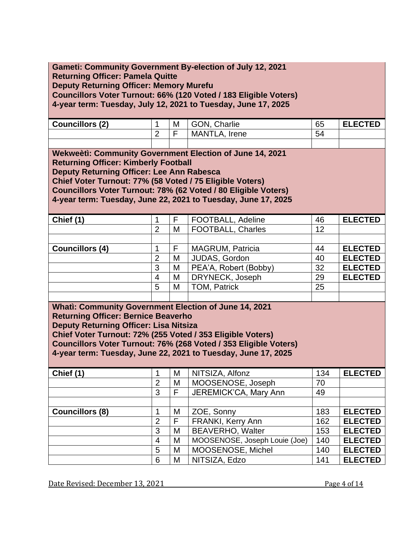| <b>Gameti: Community Government By-election of July 12, 2021</b><br><b>Returning Officer: Pamela Quitte</b><br><b>Deputy Returning Officer: Memory Murefu</b><br>Councillors Voter Turnout: 66% (120 Voted / 183 Eligible Voters)<br>4-year term: Tuesday, July 12, 2021 to Tuesday, June 17, 2025                                                             |                          |                              |                               |     |                |  |  |  |  |
|----------------------------------------------------------------------------------------------------------------------------------------------------------------------------------------------------------------------------------------------------------------------------------------------------------------------------------------------------------------|--------------------------|------------------------------|-------------------------------|-----|----------------|--|--|--|--|
| <b>Councillors (2)</b>                                                                                                                                                                                                                                                                                                                                         | 1                        | M                            | GON, Charlie                  | 65  | <b>ELECTED</b> |  |  |  |  |
|                                                                                                                                                                                                                                                                                                                                                                | $\overline{2}$           | F                            | MANTLA, Irene                 | 54  |                |  |  |  |  |
| Wekweeti: Community Government Election of June 14, 2021<br><b>Returning Officer: Kimberly Football</b><br>Deputy Returning Officer: Lee Ann Rabesca<br>Chief Voter Turnout: 77% (58 Voted / 75 Eligible Voters)<br>Councillors Voter Turnout: 78% (62 Voted / 80 Eligible Voters)<br>4-year term: Tuesday, June 22, 2021 to Tuesday, June 17, 2025            |                          |                              |                               |     |                |  |  |  |  |
| Chief (1)                                                                                                                                                                                                                                                                                                                                                      | 1                        | F                            | FOOTBALL, Adeline             | 46  | <b>ELECTED</b> |  |  |  |  |
|                                                                                                                                                                                                                                                                                                                                                                | $\overline{2}$           | M                            | <b>FOOTBALL, Charles</b>      | 12  |                |  |  |  |  |
|                                                                                                                                                                                                                                                                                                                                                                |                          |                              |                               |     |                |  |  |  |  |
| <b>Councillors (4)</b>                                                                                                                                                                                                                                                                                                                                         | 1                        | F                            | <b>MAGRUM, Patricia</b>       | 44  | <b>ELECTED</b> |  |  |  |  |
|                                                                                                                                                                                                                                                                                                                                                                | $\overline{2}$           | M                            | JUDAS, Gordon                 | 40  | <b>ELECTED</b> |  |  |  |  |
|                                                                                                                                                                                                                                                                                                                                                                | 3                        | M                            | PEA'A, Robert (Bobby)         | 32  | <b>ELECTED</b> |  |  |  |  |
|                                                                                                                                                                                                                                                                                                                                                                | $\overline{4}$           | M                            | DRYNECK, Joseph               | 29  | <b>ELECTED</b> |  |  |  |  |
|                                                                                                                                                                                                                                                                                                                                                                | 5                        | M                            | <b>TOM, Patrick</b>           | 25  |                |  |  |  |  |
|                                                                                                                                                                                                                                                                                                                                                                |                          |                              |                               |     |                |  |  |  |  |
| <b>Whati: Community Government Election of June 14, 2021</b><br><b>Returning Officer: Bernice Beaverho</b><br><b>Deputy Returning Officer: Lisa Nitsiza</b><br>Chief Voter Turnout: 72% (255 Voted / 353 Eligible Voters)<br>Councillors Voter Turnout: 76% (268 Voted / 353 Eligible Voters)<br>4-year term: Tuesday, June 22, 2021 to Tuesday, June 17, 2025 |                          |                              |                               |     |                |  |  |  |  |
| Chief (1)                                                                                                                                                                                                                                                                                                                                                      | 1                        | M                            | NITSIZA, Alfonz               | 134 | <b>ELECTED</b> |  |  |  |  |
|                                                                                                                                                                                                                                                                                                                                                                | $\overline{2}$           | M                            | MOOSENOSE, Joseph             | 70  |                |  |  |  |  |
|                                                                                                                                                                                                                                                                                                                                                                | $\overline{3}$           | F                            | JEREMICK'CA, Mary Ann         | 49  |                |  |  |  |  |
|                                                                                                                                                                                                                                                                                                                                                                |                          |                              |                               |     |                |  |  |  |  |
| <b>Councillors (8)</b>                                                                                                                                                                                                                                                                                                                                         | 1                        | M<br>$\overline{\mathsf{F}}$ | ZOE, Sonny                    | 183 | <b>ELECTED</b> |  |  |  |  |
|                                                                                                                                                                                                                                                                                                                                                                | $\overline{2}$           |                              | <b>FRANKI, Kerry Ann</b>      | 162 | <b>ELECTED</b> |  |  |  |  |
|                                                                                                                                                                                                                                                                                                                                                                | 3                        | M                            | <b>BEAVERHO, Walter</b>       | 153 | <b>ELECTED</b> |  |  |  |  |
|                                                                                                                                                                                                                                                                                                                                                                | $\overline{\mathcal{A}}$ | M                            | MOOSENOSE, Joseph Louie (Joe) | 140 | <b>ELECTED</b> |  |  |  |  |
|                                                                                                                                                                                                                                                                                                                                                                | $\overline{5}$           | M                            | MOOSENOSE, Michel             | 140 | <b>ELECTED</b> |  |  |  |  |
|                                                                                                                                                                                                                                                                                                                                                                | 6                        | M                            | NITSIZA, Edzo                 | 141 | <b>ELECTED</b> |  |  |  |  |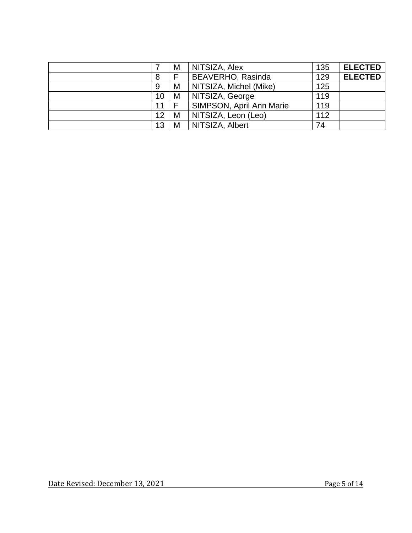|    | M | NITSIZA, Alex            | 135 | <b>ELECTED</b> |
|----|---|--------------------------|-----|----------------|
| 8  | F | <b>BEAVERHO, Rasinda</b> | 129 | <b>ELECTED</b> |
| 9  | M | NITSIZA, Michel (Mike)   | 125 |                |
| 10 | M | NITSIZA, George          | 119 |                |
| 11 | F | SIMPSON, April Ann Marie | 119 |                |
| 12 | M | NITSIZA, Leon (Leo)      | 112 |                |
| 13 | M | NITSIZA, Albert          | 74  |                |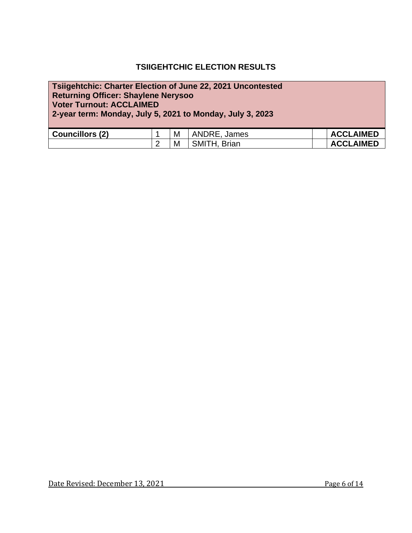#### **TSIIGEHTCHIC ELECTION RESULTS**

# **Tsiigehtchic: Charter Election of June 22, 2021 Uncontested Returning Officer: Shaylene Nerysoo Voter Turnout: ACCLAIMED 2-year term: Monday, July 5, 2021 to Monday, July 3, 2023 Councillors (2)** 1 M ANDRE, James **ACCLAIMED**<br>
2 M SMITH, Brian **ACCLAIMED** 2 | M | SMITH, Brian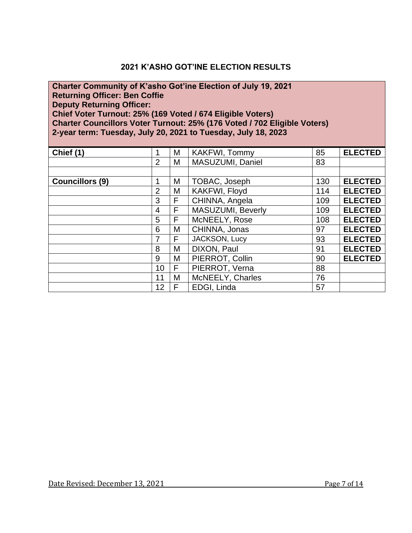#### **2021 K'ASHO GOT'INE ELECTION RESULTS**

#### **Charter Community of K'asho Got'ine Election of July 19, 2021 Returning Officer: Ben Coffie Deputy Returning Officer: Chief Voter Turnout: 25% (169 Voted / 674 Eligible Voters) Charter Councillors Voter Turnout: 25% (176 Voted / 702 Eligible Voters) 2-year term: Tuesday, July 20, 2021 to Tuesday, July 18, 2023**

| Chief (1)              | 1              | М | KAKFWI, Tommy     | 85  | <b>ELECTED</b> |
|------------------------|----------------|---|-------------------|-----|----------------|
|                        | 2              | М | MASUZUMI, Daniel  | 83  |                |
|                        |                |   |                   |     |                |
| <b>Councillors (9)</b> | 1              | Μ | TOBAC, Joseph     | 130 | <b>ELECTED</b> |
|                        | 2              | М | KAKFWI, Floyd     | 114 | <b>ELECTED</b> |
|                        | 3              | F | CHINNA, Angela    | 109 | <b>ELECTED</b> |
|                        | $\overline{4}$ | F | MASUZUMI, Beverly | 109 | <b>ELECTED</b> |
|                        | 5              | F | McNEELY, Rose     | 108 | <b>ELECTED</b> |
|                        | 6              | Μ | CHINNA, Jonas     | 97  | <b>ELECTED</b> |
|                        | 7              | F | JACKSON, Lucy     | 93  | <b>ELECTED</b> |
|                        | 8              | М | DIXON, Paul       | 91  | <b>ELECTED</b> |
|                        | 9              | M | PIERROT, Collin   | 90  | <b>ELECTED</b> |
|                        | 10             | F | PIERROT, Verna    | 88  |                |
|                        | 11             | M | McNEELY, Charles  | 76  |                |
|                        | 12             | F | EDGI, Linda       | 57  |                |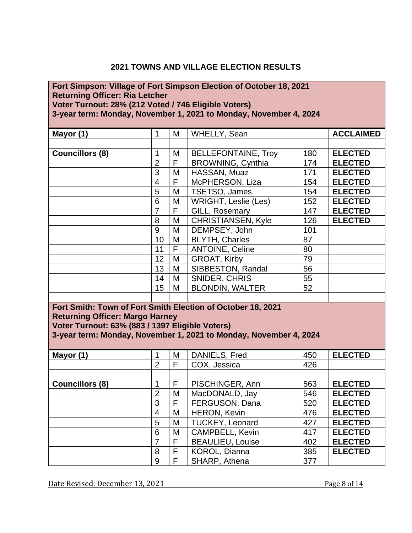#### **2021 TOWNS AND VILLAGE ELECTION RESULTS**

# **Fort Simpson: Village of Fort Simpson Election of October 18, 2021 Returning Officer: Ria Letcher Voter Turnout: 28% (212 Voted / 746 Eligible Voters)**

**3-year term: Monday, November 1, 2021 to Monday, November 4, 2024**

| Mayor (1)                                                   | 1               | M              | WHELLY, Sean                                                      |     | <b>ACCLAIMED</b> |
|-------------------------------------------------------------|-----------------|----------------|-------------------------------------------------------------------|-----|------------------|
|                                                             |                 |                |                                                                   |     |                  |
| <b>Councillors (8)</b>                                      | $\mathbf{1}$    | M              | <b>BELLEFONTAINE, Troy</b>                                        | 180 | <b>ELECTED</b>   |
|                                                             | $\overline{2}$  | F              | <b>BROWNING, Cynthia</b>                                          | 174 | <b>ELECTED</b>   |
|                                                             | 3               | M              | HASSAN, Muaz                                                      | 171 | <b>ELECTED</b>   |
|                                                             | $\overline{4}$  | F              | McPHERSON, Liza                                                   | 154 | <b>ELECTED</b>   |
|                                                             | 5               | M              | TSETSO, James                                                     | 154 | <b>ELECTED</b>   |
|                                                             | $6\phantom{1}6$ | M              | WRIGHT, Leslie (Les)                                              | 152 | <b>ELECTED</b>   |
|                                                             | $\overline{7}$  | $\overline{F}$ | GILL, Rosemary                                                    | 147 | <b>ELECTED</b>   |
|                                                             | 8               | M              | <b>CHRISTIANSEN, Kyle</b>                                         | 126 | <b>ELECTED</b>   |
|                                                             | 9               | M              | DEMPSEY, John                                                     | 101 |                  |
|                                                             | 10              | M              | <b>BLYTH, Charles</b>                                             | 87  |                  |
|                                                             | 11              | F              | <b>ANTOINE, Celine</b>                                            | 80  |                  |
|                                                             | 12              | M              | GROAT, Kirby                                                      | 79  |                  |
|                                                             | 13              | M              | SIBBESTON, Randal                                                 | 56  |                  |
|                                                             | 14              | M              | SNIDER, CHRIS                                                     | 55  |                  |
|                                                             | 15              | M              | <b>BLONDIN, WALTER</b>                                            | 52  |                  |
|                                                             |                 |                |                                                                   |     |                  |
| Fort Smith: Town of Fort Smith Election of October 18, 2021 |                 |                |                                                                   |     |                  |
| <b>Returning Officer: Margo Harney</b>                      |                 |                |                                                                   |     |                  |
| Voter Turnout: 63% (883 / 1397 Eligible Voters)             |                 |                |                                                                   |     |                  |
|                                                             |                 |                | 3-year term: Monday, November 1, 2021 to Monday, November 4, 2024 |     |                  |
|                                                             |                 |                |                                                                   |     |                  |
| Mayor (1)                                                   | 1               | M              | DANIELS, Fred                                                     | 450 | <b>ELECTED</b>   |
|                                                             | $\overline{2}$  | F              | COX, Jessica                                                      | 426 |                  |
|                                                             |                 |                |                                                                   |     |                  |
| <b>Councillors (8)</b>                                      | 1               | F              | PISCHINGER, Ann                                                   | 563 | <b>ELECTED</b>   |
|                                                             | $\overline{2}$  | M              | MacDONALD, Jay                                                    | 546 | <b>ELECTED</b>   |
|                                                             | $\overline{3}$  | F              | FERGUSON, Dana                                                    | 520 | <b>ELECTED</b>   |
|                                                             | $\overline{4}$  | M              | <b>HERON, Kevin</b>                                               | 476 | <b>ELECTED</b>   |

 M TUCKEY, Leonard 427 **ELECTED** M CAMPBELL, Kevin 417 **ELECTED** F BEAULIEU, Louise 402 **ELECTED F** KOROL, Dianna | 385 **ELECTED** 

9 F SHARP, Athena 377

Date Revised: December 13, 2021 Page 8 of 14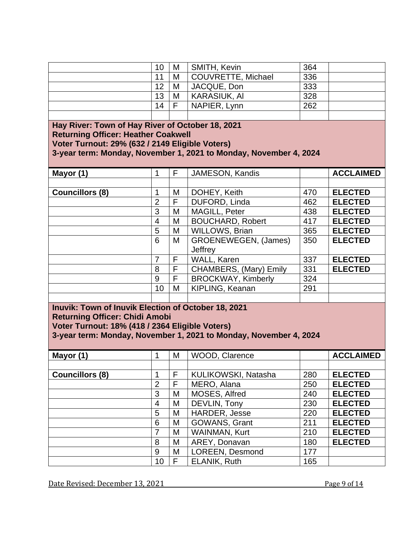|                                                                                                                                                                                                                        | 10             | M | SMITH, Kevin                                                      | 364 |                  |  |  |  |  |
|------------------------------------------------------------------------------------------------------------------------------------------------------------------------------------------------------------------------|----------------|---|-------------------------------------------------------------------|-----|------------------|--|--|--|--|
|                                                                                                                                                                                                                        | 11             | M | <b>COUVRETTE, Michael</b>                                         | 336 |                  |  |  |  |  |
|                                                                                                                                                                                                                        | 12             | M | JACQUE, Don                                                       | 333 |                  |  |  |  |  |
|                                                                                                                                                                                                                        | 13             | M | <b>KARASIUK, AI</b>                                               | 328 |                  |  |  |  |  |
|                                                                                                                                                                                                                        | 14             | F | NAPIER, Lynn                                                      | 262 |                  |  |  |  |  |
|                                                                                                                                                                                                                        |                |   |                                                                   |     |                  |  |  |  |  |
| Hay River: Town of Hay River of October 18, 2021<br><b>Returning Officer: Heather Coakwell</b><br>Voter Turnout: 29% (632 / 2149 Eligible Voters)<br>3-year term: Monday, November 1, 2021 to Monday, November 4, 2024 |                |   |                                                                   |     |                  |  |  |  |  |
| Mayor (1)                                                                                                                                                                                                              | 1              | F | <b>JAMESON, Kandis</b>                                            |     | <b>ACCLAIMED</b> |  |  |  |  |
|                                                                                                                                                                                                                        |                |   |                                                                   |     |                  |  |  |  |  |
| <b>Councillors (8)</b>                                                                                                                                                                                                 | 1              | M | DOHEY, Keith                                                      | 470 | <b>ELECTED</b>   |  |  |  |  |
|                                                                                                                                                                                                                        | $\overline{2}$ | F | DUFORD, Linda                                                     | 462 | <b>ELECTED</b>   |  |  |  |  |
|                                                                                                                                                                                                                        | $\overline{3}$ | M | MAGILL, Peter                                                     | 438 | <b>ELECTED</b>   |  |  |  |  |
|                                                                                                                                                                                                                        | 4              | M | <b>BOUCHARD, Robert</b>                                           | 417 | <b>ELECTED</b>   |  |  |  |  |
|                                                                                                                                                                                                                        | 5              | M | <b>WILLOWS, Brian</b>                                             | 365 | <b>ELECTED</b>   |  |  |  |  |
|                                                                                                                                                                                                                        | 6              | M | GROENEWEGEN, (James)<br>Jeffrey                                   | 350 | <b>ELECTED</b>   |  |  |  |  |
|                                                                                                                                                                                                                        | 7              | F | WALL, Karen                                                       | 337 | <b>ELECTED</b>   |  |  |  |  |
|                                                                                                                                                                                                                        | 8              | F | CHAMBERS, (Mary) Emily                                            | 331 | <b>ELECTED</b>   |  |  |  |  |
|                                                                                                                                                                                                                        | 9              | F | <b>BROCKWAY, Kimberly</b>                                         | 324 |                  |  |  |  |  |
|                                                                                                                                                                                                                        | 10             | M | KIPLING, Keanan                                                   | 291 |                  |  |  |  |  |
|                                                                                                                                                                                                                        |                |   |                                                                   |     |                  |  |  |  |  |
| Inuvik: Town of Inuvik Election of October 18, 2021<br><b>Returning Officer: Chidi Amobi</b><br>Voter Turnout: 18% (418 / 2364 Eligible Voters)                                                                        |                |   | 3-year term: Monday, November 1, 2021 to Monday, November 4, 2024 |     |                  |  |  |  |  |
| Mayor (1)                                                                                                                                                                                                              | 1              | M | WOOD, Clarence                                                    |     | <b>ACCLAIMED</b> |  |  |  |  |
|                                                                                                                                                                                                                        |                |   |                                                                   |     |                  |  |  |  |  |
| <b>Councillors (8)</b>                                                                                                                                                                                                 | 1              | F | KULIKOWSKI, Natasha                                               | 280 | <b>ELECTED</b>   |  |  |  |  |
|                                                                                                                                                                                                                        | $\overline{2}$ | F | MERO, Alana                                                       | 250 | <b>ELECTED</b>   |  |  |  |  |
|                                                                                                                                                                                                                        | $\overline{3}$ | M | MOSES, Alfred                                                     | 240 | <b>ELECTED</b>   |  |  |  |  |
|                                                                                                                                                                                                                        | 4              | M | DEVLIN, Tony                                                      | 230 | <b>ELECTED</b>   |  |  |  |  |
|                                                                                                                                                                                                                        | 5              | M | HARDER, Jesse                                                     | 220 | <b>ELECTED</b>   |  |  |  |  |
|                                                                                                                                                                                                                        | 6              | M | GOWANS, Grant                                                     | 211 | <b>ELECTED</b>   |  |  |  |  |
|                                                                                                                                                                                                                        | $\overline{7}$ | M | <b>WAINMAN, Kurt</b>                                              | 210 | <b>ELECTED</b>   |  |  |  |  |
|                                                                                                                                                                                                                        | 8              | M | AREY, Donavan                                                     | 180 | <b>ELECTED</b>   |  |  |  |  |
|                                                                                                                                                                                                                        | 9              | M | LOREEN, Desmond                                                   | 177 |                  |  |  |  |  |
|                                                                                                                                                                                                                        | 10             | F | <b>ELANIK, Ruth</b>                                               | 165 |                  |  |  |  |  |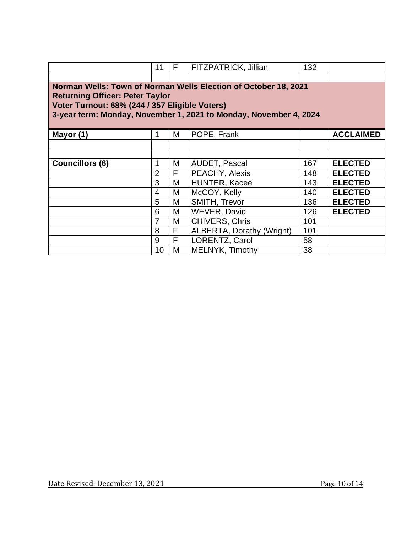|                                                                                                                                                                                                                                  | 11             | F | FITZPATRICK, Jillian             | 132 |                  |  |  |  |
|----------------------------------------------------------------------------------------------------------------------------------------------------------------------------------------------------------------------------------|----------------|---|----------------------------------|-----|------------------|--|--|--|
|                                                                                                                                                                                                                                  |                |   |                                  |     |                  |  |  |  |
| Norman Wells: Town of Norman Wells Election of October 18, 2021<br><b>Returning Officer: Peter Taylor</b><br>Voter Turnout: 68% (244 / 357 Eligible Voters)<br>3-year term: Monday, November 1, 2021 to Monday, November 4, 2024 |                |   |                                  |     |                  |  |  |  |
| Mayor (1)                                                                                                                                                                                                                        |                | М | POPE, Frank                      |     | <b>ACCLAIMED</b> |  |  |  |
|                                                                                                                                                                                                                                  |                |   |                                  |     |                  |  |  |  |
|                                                                                                                                                                                                                                  |                |   |                                  |     |                  |  |  |  |
| <b>Councillors (6)</b>                                                                                                                                                                                                           | 1              | М | <b>AUDET, Pascal</b>             | 167 | <b>ELECTED</b>   |  |  |  |
|                                                                                                                                                                                                                                  | $\overline{2}$ | F | PEACHY, Alexis                   | 148 | <b>ELECTED</b>   |  |  |  |
|                                                                                                                                                                                                                                  | 3              | M | HUNTER, Kacee                    | 143 | <b>ELECTED</b>   |  |  |  |
|                                                                                                                                                                                                                                  | 4              | М | McCOY, Kelly                     | 140 | <b>ELECTED</b>   |  |  |  |
|                                                                                                                                                                                                                                  | 5              | М | SMITH, Trevor                    | 136 | <b>ELECTED</b>   |  |  |  |
|                                                                                                                                                                                                                                  | 6              | M | <b>WEVER, David</b>              | 126 | <b>ELECTED</b>   |  |  |  |
|                                                                                                                                                                                                                                  | 7              | М | <b>CHIVERS, Chris</b>            | 101 |                  |  |  |  |
|                                                                                                                                                                                                                                  | 8              | F | <b>ALBERTA, Dorathy (Wright)</b> | 101 |                  |  |  |  |
|                                                                                                                                                                                                                                  | 9              | F | <b>LORENTZ, Carol</b>            | 58  |                  |  |  |  |
|                                                                                                                                                                                                                                  | 10             | M | MELNYK, Timothy                  | 38  |                  |  |  |  |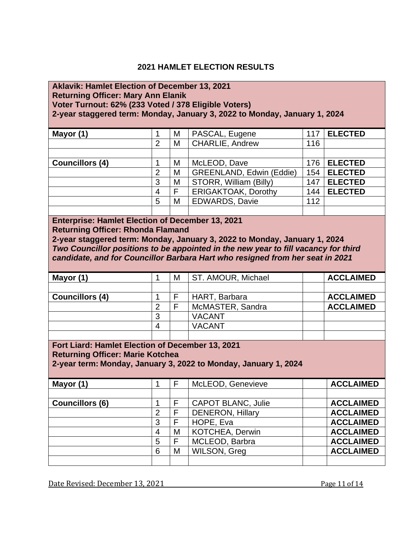### **2021 HAMLET ELECTION RESULTS**

#### **Aklavik: Hamlet Election of December 13, 2021 Returning Officer: Mary Ann Elanik Voter Turnout: 62% (233 Voted / 378 Eligible Voters) 2-year staggered term: Monday, January 3, 2022 to Monday, January 1, 2024**

| Mayor (1)              |   | M | PASCAL, Eugene                  | 117 | <b>ELECTED</b> |
|------------------------|---|---|---------------------------------|-----|----------------|
|                        | 2 | M | <b>CHARLIE, Andrew</b>          | 116 |                |
|                        |   |   |                                 |     |                |
| <b>Councillors (4)</b> |   | M | McLEOD, Dave                    | 176 | <b>ELECTED</b> |
|                        | 2 | M | <b>GREENLAND, Edwin (Eddie)</b> | 154 | <b>ELECTED</b> |
|                        | 3 | M | STORR, William (Billy)          | 147 | <b>ELECTED</b> |
|                        | 4 | F | <b>ERIGAKTOAK, Dorothy</b>      | 144 | <b>ELECTED</b> |
|                        | 5 | M | <b>EDWARDS, Davie</b>           | 112 |                |
|                        |   |   |                                 |     |                |

#### **Enterprise: Hamlet Election of December 13, 2021 Returning Officer: Rhonda Flamand**

**2-year staggered term: Monday, January 3, 2022 to Monday, January 1, 2024** *Two Councillor positions to be appointed in the new year to fill vacancy for third candidate, and for Councillor Barbara Hart who resigned from her seat in 2021*

| Mayor (1)                                                                                                                                                      | 1              | М | ST. AMOUR, Michael        | <b>ACCLAIMED</b> |  |  |  |  |
|----------------------------------------------------------------------------------------------------------------------------------------------------------------|----------------|---|---------------------------|------------------|--|--|--|--|
|                                                                                                                                                                |                |   |                           |                  |  |  |  |  |
| <b>Councillors (4)</b>                                                                                                                                         | 1              | F | HART, Barbara             | <b>ACCLAIMED</b> |  |  |  |  |
|                                                                                                                                                                | $\overline{2}$ | F | McMASTER, Sandra          | <b>ACCLAIMED</b> |  |  |  |  |
|                                                                                                                                                                | 3              |   | <b>VACANT</b>             |                  |  |  |  |  |
|                                                                                                                                                                | 4              |   | <b>VACANT</b>             |                  |  |  |  |  |
|                                                                                                                                                                |                |   |                           |                  |  |  |  |  |
| Fort Liard: Hamlet Election of December 13, 2021<br><b>Returning Officer: Marie Kotchea</b><br>2-year term: Monday, January 3, 2022 to Monday, January 1, 2024 |                |   |                           |                  |  |  |  |  |
|                                                                                                                                                                |                |   |                           |                  |  |  |  |  |
|                                                                                                                                                                |                |   |                           |                  |  |  |  |  |
| Mayor (1)                                                                                                                                                      | 1              | F | McLEOD, Genevieve         | <b>ACCLAIMED</b> |  |  |  |  |
|                                                                                                                                                                |                |   |                           |                  |  |  |  |  |
| <b>Councillors (6)</b>                                                                                                                                         | 1              | F | <b>CAPOT BLANC, Julie</b> | <b>ACCLAIMED</b> |  |  |  |  |
|                                                                                                                                                                | 2              | F | <b>DENERON, Hillary</b>   | <b>ACCLAIMED</b> |  |  |  |  |
|                                                                                                                                                                | 3              | F | HOPE, Eva                 | <b>ACCLAIMED</b> |  |  |  |  |
|                                                                                                                                                                | 4              | М | KOTCHEA, Derwin           | <b>ACCLAIMED</b> |  |  |  |  |
|                                                                                                                                                                | 5              | F | MCLEOD, Barbra            | <b>ACCLAIMED</b> |  |  |  |  |
|                                                                                                                                                                | 6              | М | <b>WILSON, Greg</b>       | <b>ACCLAIMED</b> |  |  |  |  |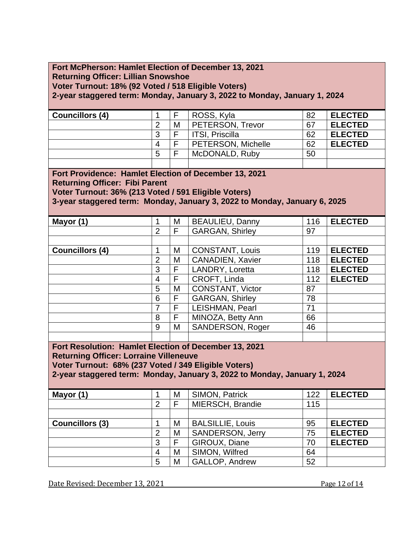## **Fort McPherson: Hamlet Election of December 13, 2021 Returning Officer: Lillian Snowshoe Voter Turnout: 18% (92 Voted / 518 Eligible Voters)**

**2-year staggered term: Monday, January 3, 2022 to Monday, January 1, 2024**

| <b>Councillors (4)</b> |   | ⊏ | ROSS, Kyla         | 82 | <b>ELECTED</b> |
|------------------------|---|---|--------------------|----|----------------|
|                        | ⌒ | M | PETERSON, Trevor   | 67 | <b>ELECTED</b> |
|                        | 3 | ⊏ | ITSI, Priscilla    | 62 | <b>ELECTED</b> |
|                        | 4 | Е | PETERSON, Michelle | 62 | <b>ELECTED</b> |
|                        | 5 | Е | McDONALD, Ruby     | 50 |                |
|                        |   |   |                    |    |                |

**Fort Providence: Hamlet Election of December 13, 2021 Returning Officer: Fibi Parent**

**Voter Turnout: 36% (213 Voted / 591 Eligible Voters)**

**3-year staggered term: Monday, January 3, 2022 to Monday, January 6, 2025**

| Mayor (1)              |                | М | BEAULIEU, Danny         | 116 | <b>ELECTED</b> |
|------------------------|----------------|---|-------------------------|-----|----------------|
|                        | $\overline{2}$ | F | <b>GARGAN, Shirley</b>  | 97  |                |
|                        |                |   |                         |     |                |
| <b>Councillors (4)</b> | 1              | М | <b>CONSTANT, Louis</b>  | 119 | <b>ELECTED</b> |
|                        | 2              | М | <b>CANADIEN, Xavier</b> | 118 | <b>ELECTED</b> |
|                        | 3              | F | LANDRY, Loretta         | 118 | <b>ELECTED</b> |
|                        | 4              | F | CROFT, Linda            | 112 | <b>ELECTED</b> |
|                        | 5              | М | CONSTANT, Victor        | 87  |                |
|                        | 6              | F | <b>GARGAN, Shirley</b>  | 78  |                |
|                        | 7              | F | LEISHMAN, Pearl         | 71  |                |
|                        | 8              | F | MINOZA, Betty Ann       | 66  |                |
|                        | 9              | М | <b>SANDERSON, Roger</b> | 46  |                |
|                        |                |   |                         |     |                |

**Fort Resolution: Hamlet Election of December 13, 2021 Returning Officer: Lorraine Villeneuve**

**Voter Turnout: 68% (237 Voted / 349 Eligible Voters)**

**2-year staggered term: Monday, January 3, 2022 to Monday, January 1, 2024**

| Mayor (1)              |                | M | SIMON, Patrick          | 122 | <b>ELECTED</b> |
|------------------------|----------------|---|-------------------------|-----|----------------|
|                        | 2              |   | MIERSCH, Brandie        | 115 |                |
|                        |                |   |                         |     |                |
| <b>Councillors (3)</b> |                | M | <b>BALSILLIE, Louis</b> | 95  | <b>ELECTED</b> |
|                        | $\overline{2}$ | M | <b>SANDERSON, Jerry</b> | 75  | <b>ELECTED</b> |
|                        | 3              |   | GIROUX, Diane           | 70  | <b>ELECTED</b> |
|                        | 4              | M | SIMON, Wilfred          | 64  |                |
|                        | 5              | M | <b>GALLOP, Andrew</b>   | 52  |                |

Date Revised: December 13, 2021 Page 12 of 14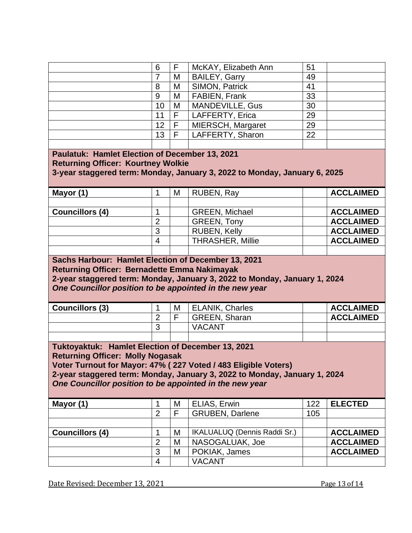|                                                                                                                                                                          | 6              | F | McKAY, Elizabeth Ann                                                                                                                        | 51  |                  |  |  |  |
|--------------------------------------------------------------------------------------------------------------------------------------------------------------------------|----------------|---|---------------------------------------------------------------------------------------------------------------------------------------------|-----|------------------|--|--|--|
|                                                                                                                                                                          | $\overline{7}$ | M | <b>BAILEY, Garry</b>                                                                                                                        | 49  |                  |  |  |  |
|                                                                                                                                                                          | 8              | M | <b>SIMON, Patrick</b>                                                                                                                       | 41  |                  |  |  |  |
|                                                                                                                                                                          | 9              | M | FABIEN, Frank                                                                                                                               | 33  |                  |  |  |  |
|                                                                                                                                                                          | 10             | M | MANDEVILLE, Gus                                                                                                                             | 30  |                  |  |  |  |
|                                                                                                                                                                          | 11             | F | LAFFERTY, Erica                                                                                                                             | 29  |                  |  |  |  |
|                                                                                                                                                                          | 12             | F | MIERSCH, Margaret                                                                                                                           | 29  |                  |  |  |  |
|                                                                                                                                                                          | 13             | F | LAFFERTY, Sharon                                                                                                                            | 22  |                  |  |  |  |
|                                                                                                                                                                          |                |   |                                                                                                                                             |     |                  |  |  |  |
| Paulatuk: Hamlet Election of December 13, 2021<br><b>Returning Officer: Kourtney Wolkie</b><br>3-year staggered term: Monday, January 3, 2022 to Monday, January 6, 2025 |                |   |                                                                                                                                             |     |                  |  |  |  |
| Mayor (1)                                                                                                                                                                | $\mathbf{1}$   | M | RUBEN, Ray                                                                                                                                  |     | <b>ACCLAIMED</b> |  |  |  |
| <b>Councillors (4)</b>                                                                                                                                                   | 1              |   | <b>GREEN, Michael</b>                                                                                                                       |     | <b>ACCLAIMED</b> |  |  |  |
|                                                                                                                                                                          | $\overline{2}$ |   | <b>GREEN, Tony</b>                                                                                                                          |     | <b>ACCLAIMED</b> |  |  |  |
|                                                                                                                                                                          | 3              |   | <b>RUBEN, Kelly</b>                                                                                                                         |     | <b>ACCLAIMED</b> |  |  |  |
|                                                                                                                                                                          | $\overline{4}$ |   | <b>THRASHER, Millie</b>                                                                                                                     |     | <b>ACCLAIMED</b> |  |  |  |
|                                                                                                                                                                          |                |   |                                                                                                                                             |     |                  |  |  |  |
|                                                                                                                                                                          |                |   |                                                                                                                                             |     |                  |  |  |  |
| Sachs Harbour: Hamlet Election of December 13, 2021<br><b>Returning Officer: Bernadette Emma Nakimayak</b><br>One Councillor position to be appointed in the new year    |                |   | 2-year staggered term: Monday, January 3, 2022 to Monday, January 1, 2024                                                                   |     |                  |  |  |  |
| <b>Councillors (3)</b>                                                                                                                                                   | 1              | M | <b>ELANIK, Charles</b>                                                                                                                      |     | <b>ACCLAIMED</b> |  |  |  |
|                                                                                                                                                                          | $\overline{2}$ | F | GREEN, Sharan                                                                                                                               |     | <b>ACCLAIMED</b> |  |  |  |
|                                                                                                                                                                          | 3              |   | <b>VACANT</b>                                                                                                                               |     |                  |  |  |  |
|                                                                                                                                                                          |                |   |                                                                                                                                             |     |                  |  |  |  |
| Tuktoyaktuk: Hamlet Election of December 13, 2021<br><b>Returning Officer: Molly Nogasak</b><br>One Councillor position to be appointed in the new year                  |                |   | Voter Turnout for Mayor: 47% (227 Voted / 483 Eligible Voters)<br>2-year staggered term: Monday, January 3, 2022 to Monday, January 1, 2024 |     |                  |  |  |  |
| Mayor (1)                                                                                                                                                                | 1              | M | ELIAS, Erwin                                                                                                                                | 122 | <b>ELECTED</b>   |  |  |  |
|                                                                                                                                                                          | $\overline{2}$ | F | <b>GRUBEN, Darlene</b>                                                                                                                      | 105 |                  |  |  |  |
|                                                                                                                                                                          |                |   |                                                                                                                                             |     |                  |  |  |  |
| <b>Councillors (4)</b>                                                                                                                                                   | 1              | M | IKALUALUQ (Dennis Raddi Sr.)                                                                                                                |     | <b>ACCLAIMED</b> |  |  |  |
|                                                                                                                                                                          | $\overline{2}$ | M | NASOGALUAK, Joe                                                                                                                             |     | <b>ACCLAIMED</b> |  |  |  |
|                                                                                                                                                                          | 3              | M | POKIAK, James<br><b>VACANT</b>                                                                                                              |     | <b>ACCLAIMED</b> |  |  |  |